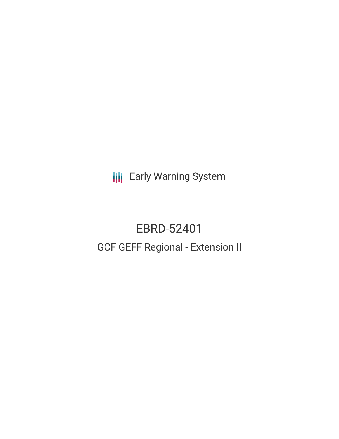**III** Early Warning System

# EBRD-52401 GCF GEFF Regional - Extension II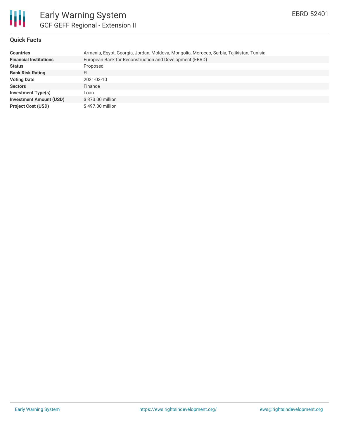

# **Quick Facts**

| <b>Countries</b>               | Armenia, Egypt, Georgia, Jordan, Moldova, Mongolia, Morocco, Serbia, Tajikistan, Tunisia |
|--------------------------------|------------------------------------------------------------------------------------------|
| <b>Financial Institutions</b>  | European Bank for Reconstruction and Development (EBRD)                                  |
| <b>Status</b>                  | Proposed                                                                                 |
| <b>Bank Risk Rating</b>        | FI                                                                                       |
| <b>Voting Date</b>             | 2021-03-10                                                                               |
| <b>Sectors</b>                 | Finance                                                                                  |
| Investment Type(s)             | Loan                                                                                     |
| <b>Investment Amount (USD)</b> | \$373.00 million                                                                         |
| <b>Project Cost (USD)</b>      | \$497.00 million                                                                         |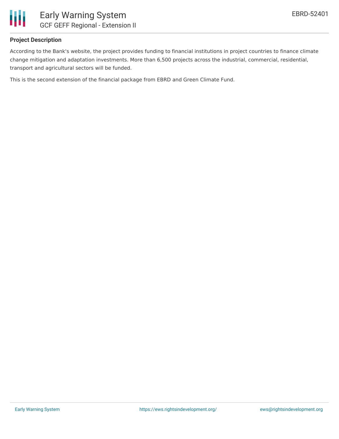

## **Project Description**

According to the Bank's website, the project provides funding to financial institutions in project countries to finance climate change mitigation and adaptation investments. More than 6,500 projects across the industrial, commercial, residential, transport and agricultural sectors will be funded.

This is the second extension of the financial package from EBRD and Green Climate Fund.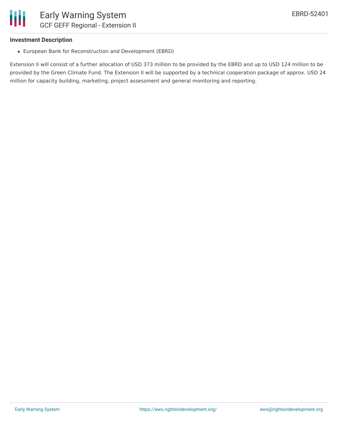### **Investment Description**

European Bank for Reconstruction and Development (EBRD)

Extension II will consist of a further allocation of USD 373 million to be provided by the EBRD and up to USD 124 million to be provided by the Green Climate Fund. The Extension II will be supported by a technical cooperation package of approx. USD 24 million for capacity building, marketing, project assessment and general monitoring and reporting.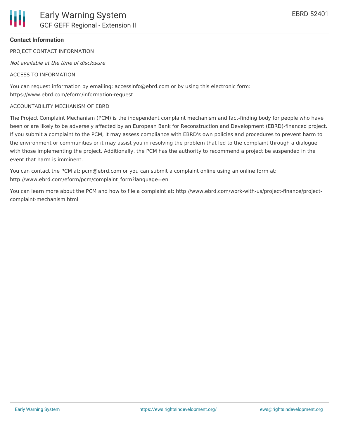# **Contact Information**

PROJECT CONTACT INFORMATION

Not available at the time of disclosure

### ACCESS TO INFORMATION

You can request information by emailing: accessinfo@ebrd.com or by using this electronic form: https://www.ebrd.com/eform/information-request

#### ACCOUNTABILITY MECHANISM OF EBRD

The Project Complaint Mechanism (PCM) is the independent complaint mechanism and fact-finding body for people who have been or are likely to be adversely affected by an European Bank for Reconstruction and Development (EBRD)-financed project. If you submit a complaint to the PCM, it may assess compliance with EBRD's own policies and procedures to prevent harm to the environment or communities or it may assist you in resolving the problem that led to the complaint through a dialogue with those implementing the project. Additionally, the PCM has the authority to recommend a project be suspended in the event that harm is imminent.

You can contact the PCM at: pcm@ebrd.com or you can submit a complaint online using an online form at: http://www.ebrd.com/eform/pcm/complaint\_form?language=en

You can learn more about the PCM and how to file a complaint at: http://www.ebrd.com/work-with-us/project-finance/projectcomplaint-mechanism.html